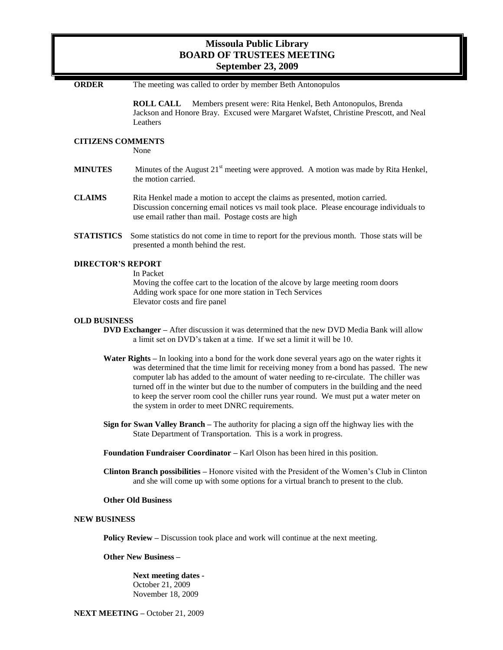## **Missoula Public Library BOARD OF TRUSTEES MEETING September 23, 2009**

**ORDER** The meeting was called to order by member Beth Antonopulos **ROLL CALL** Members present were: Rita Henkel, Beth Antonopulos, Brenda Jackson and Honore Bray. Excused were Margaret Wafstet, Christine Prescott, and Neal Leathers **CITIZENS COMMENTS**  None **MINUTES** Minutes of the August  $21<sup>st</sup>$  meeting were approved. A motion was made by Rita Henkel, the motion carried. **CLAIMS** Rita Henkel made a motion to accept the claims as presented, motion carried. Discussion concerning email notices vs mail took place. Please encourage individuals to use email rather than mail. Postage costs are high **STATISTICS** Some statistics do not come in time to report for the previous month. Those stats will be presented a month behind the rest. **DIRECTOR'S REPORT** In Packet Moving the coffee cart to the location of the alcove by large meeting room doors Adding work space for one more station in Tech Services Elevator costs and fire panel **OLD BUSINESS DVD Exchanger –** After discussion it was determined that the new DVD Media Bank will allow a limit set on DVD's taken at a time. If we set a limit it will be 10. **Water Rights –** In looking into a bond for the work done several years ago on the water rights it was determined that the time limit for receiving money from a bond has passed. The new computer lab has added to the amount of water needing to re-circulate. The chiller was turned off in the winter but due to the number of computers in the building and the need to keep the server room cool the chiller runs year round. We must put a water meter on the system in order to meet DNRC requirements. **Sign for Swan Valley Branch –** The authority for placing a sign off the highway lies with the State Department of Transportation. This is a work in progress. **Foundation Fundraiser Coordinator –** Karl Olson has been hired in this position. **Clinton Branch possibilities –** Honore visited with the President of the Women's Club in Clinton and she will come up with some options for a virtual branch to present to the club. **Other Old Business NEW BUSINESS Policy Review –** Discussion took place and work will continue at the next meeting. **Other New Business – Next meeting dates -**

October 21, 2009 November 18, 2009